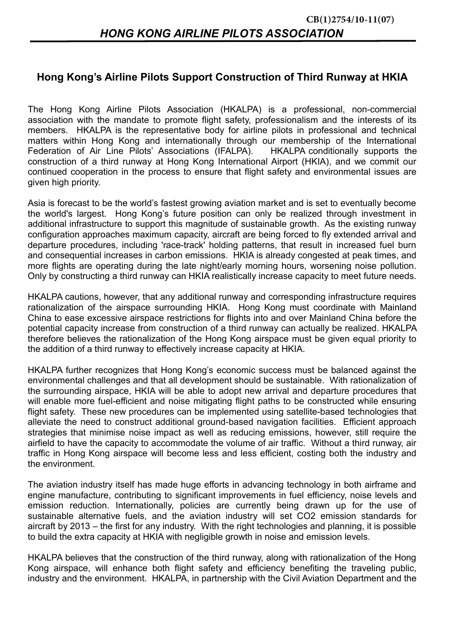## **Hong Kong's Airline Pilots Support Construction of Third Runway at HKIA**

The Hong Kong Airline Pilots Association (HKALPA) is a professional, non-commercial association with the mandate to promote flight safety, professionalism and the interests of its members. HKALPA is the representative body for airline pilots in professional and technical matters within Hong Kong and internationally through our membership of the International Federation of Air Line Pilots' Associations (IFALPA). HKALPA conditionally supports the construction of a third runway at Hong Kong International Airport (HKIA), and we commit our continued cooperation in the process to ensure that flight safety and environmental issues are given high priority.

Asia is forecast to be the world's fastest growing aviation market and is set to eventually become the world's largest. Hong Kong's future position can only be realized through investment in additional infrastructure to support this magnitude of sustainable growth. As the existing runway configuration approaches maximum capacity, aircraft are being forced to fly extended arrival and departure procedures, including 'race-track' holding patterns, that result in increased fuel burn and consequential increases in carbon emissions. HKIA is already congested at peak times, and more flights are operating during the late night/early morning hours, worsening noise pollution. Only by constructing a third runway can HKIA realistically increase capacity to meet future needs.

HKALPA cautions, however, that any additional runway and corresponding infrastructure requires rationalization of the airspace surrounding HKIA. Hong Kong must coordinate with Mainland China to ease excessive airspace restrictions for flights into and over Mainland China before the potential capacity increase from construction of a third runway can actually be realized. HKALPA therefore believes the rationalization of the Hong Kong airspace must be given equal priority to the addition of a third runway to effectively increase capacity at HKIA.

HKALPA further recognizes that Hong Kong's economic success must be balanced against the environmental challenges and that all development should be sustainable. With rationalization of the surrounding airspace, HKIA will be able to adopt new arrival and departure procedures that will enable more fuel-efficient and noise mitigating flight paths to be constructed while ensuring flight safety. These new procedures can be implemented using satellite-based technologies that alleviate the need to construct additional ground-based navigation facilities. Efficient approach strategies that minimise noise impact as well as reducing emissions, however, still require the airfield to have the capacity to accommodate the volume of air traffic. Without a third runway, air traffic in Hong Kong airspace will become less and less efficient, costing both the industry and the environment.

The aviation industry itself has made huge efforts in advancing technology in both airframe and engine manufacture, contributing to significant improvements in fuel efficiency, noise levels and emission reduction. Internationally, policies are currently being drawn up for the use of sustainable alternative fuels, and the aviation industry will set CO2 emission standards for aircraft by 2013 – the first for any industry. With the right technologies and planning, it is possible to build the extra capacity at HKIA with negligible growth in noise and emission levels.

HKALPA believes that the construction of the third runway, along with rationalization of the Hong Kong airspace, will enhance both flight safety and efficiency benefiting the traveling public, industry and the environment. HKALPA, in partnership with the Civil Aviation Department and the